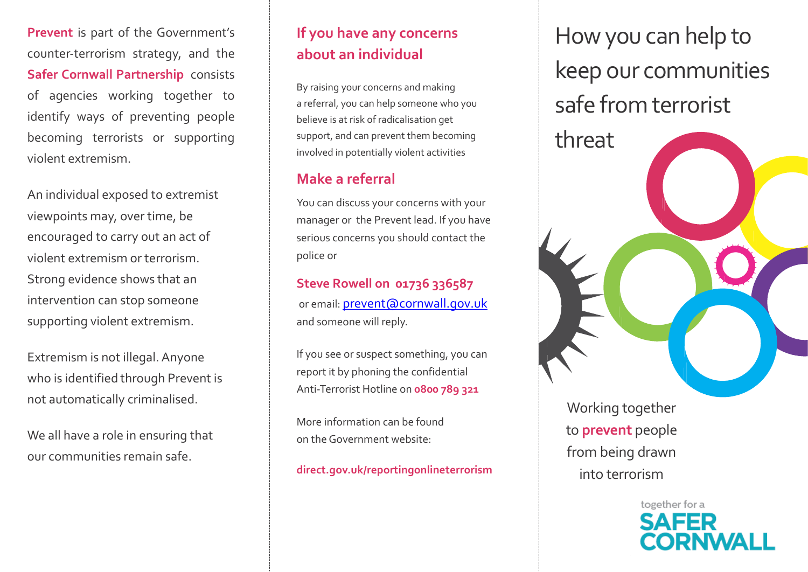**Prevent** is part of the Government's counter-terrorism strategy, and the **Safer Cornwall Partnership** consists of agencies working together to identify ways of preventing people becoming terrorists or supporting violent extremism.

An individual exposed to extremist viewpoints may, over time, be encouraged to carry out an act of violent extremism or terrorism. Strong evidence shows that an intervention can stop someone supporting violent extremism.

Extremism is not illegal.Anyone who is identified through Prevent is not automatically criminalised.

We all have a role in ensuring that our communities remain safe.

## **If you have any concerns about an individual**

By raising your concerns and making a referral, you can help someone who you believe is at risk of radicalisation get support, and can prevent them becoming involved in potentially violent activities

## **Make a referral**

You can discuss your concerns with your manager or the Prevent lead. If you have serious concerns you should contact the police or

**Steve Rowell on 01736 336587** or email: [prevent@cornwall.gov.uk](mailto:prevent@cornwall.gov.uk) and someone will reply.

If you see or suspect something, you can report it by phoning the confidential Anti-Terrorist Hotline on **0800 789 321**

More information can be found on theGovernment website:

**direct.gov.uk/reportingonlineterrorism**

How you can help to keep our communities safe from terrorist

threat

Working together to **prevent** people from being drawn into terrorism